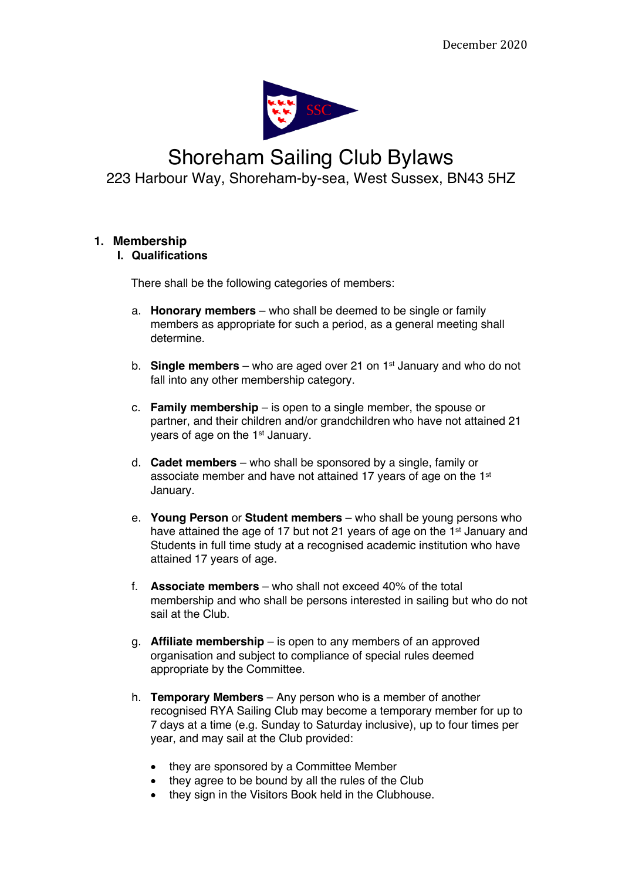

# Shoreham Sailing Club Bylaws 223 Harbour Way, Shoreham-by-sea, West Sussex, BN43 5HZ

# **1. Membership**

#### **I. Qualifications**

There shall be the following categories of members:

- a. **Honorary members** who shall be deemed to be single or family members as appropriate for such a period, as a general meeting shall determine.
- b. **Single members** who are aged over 21 on 1st January and who do not fall into any other membership category.
- c. **Family membership** is open to a single member, the spouse or partner, and their children and/or grandchildren who have not attained 21 years of age on the 1<sup>st</sup> January.
- d. **Cadet members** who shall be sponsored by a single, family or associate member and have not attained 17 years of age on the 1<sup>st</sup> January.
- e. **Young Person** or **Student members** who shall be young persons who have attained the age of 17 but not 21 years of age on the 1<sup>st</sup> January and Students in full time study at a recognised academic institution who have attained 17 years of age.
- f. **Associate members** who shall not exceed 40% of the total membership and who shall be persons interested in sailing but who do not sail at the Club.
- g. **Affiliate membership** is open to any members of an approved organisation and subject to compliance of special rules deemed appropriate by the Committee.
- h. **Temporary Members** Any person who is a member of another recognised RYA Sailing Club may become a temporary member for up to 7 days at a time (e.g. Sunday to Saturday inclusive), up to four times per year, and may sail at the Club provided:
	- they are sponsored by a Committee Member
	- they agree to be bound by all the rules of the Club
	- they sign in the Visitors Book held in the Clubhouse.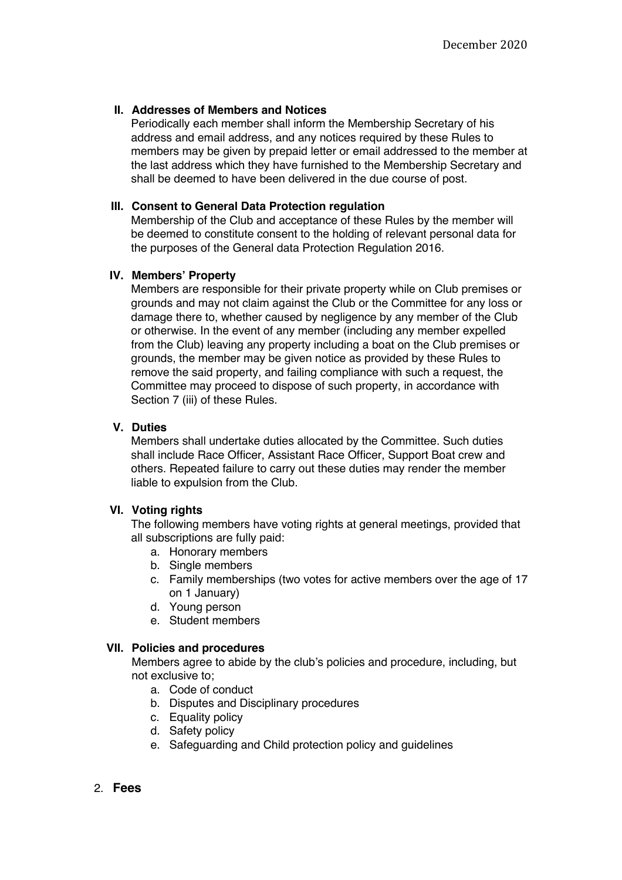## **II. Addresses of Members and Notices**

Periodically each member shall inform the Membership Secretary of his address and email address, and any notices required by these Rules to members may be given by prepaid letter or email addressed to the member at the last address which they have furnished to the Membership Secretary and shall be deemed to have been delivered in the due course of post.

## **III. Consent to General Data Protection regulation**

Membership of the Club and acceptance of these Rules by the member will be deemed to constitute consent to the holding of relevant personal data for the purposes of the General data Protection Regulation 2016.

#### **IV. Members' Property**

Members are responsible for their private property while on Club premises or grounds and may not claim against the Club or the Committee for any loss or damage there to, whether caused by negligence by any member of the Club or otherwise. In the event of any member (including any member expelled from the Club) leaving any property including a boat on the Club premises or grounds, the member may be given notice as provided by these Rules to remove the said property, and failing compliance with such a request, the Committee may proceed to dispose of such property, in accordance with Section 7 (iii) of these Rules.

## **V. Duties**

Members shall undertake duties allocated by the Committee. Such duties shall include Race Officer, Assistant Race Officer, Support Boat crew and others. Repeated failure to carry out these duties may render the member liable to expulsion from the Club.

## **VI. Voting rights**

The following members have voting rights at general meetings, provided that all subscriptions are fully paid:

- a. Honorary members
- b. Single members
- c. Family memberships (two votes for active members over the age of 17 on 1 January)
- d. Young person
- e. Student members

#### **VII. Policies and procedures**

Members agree to abide by the club's policies and procedure, including, but not exclusive to;

- a. Code of conduct
- b. Disputes and Disciplinary procedures
- c. Equality policy
- d. Safety policy
- e. Safeguarding and Child protection policy and guidelines
- 2. **Fees**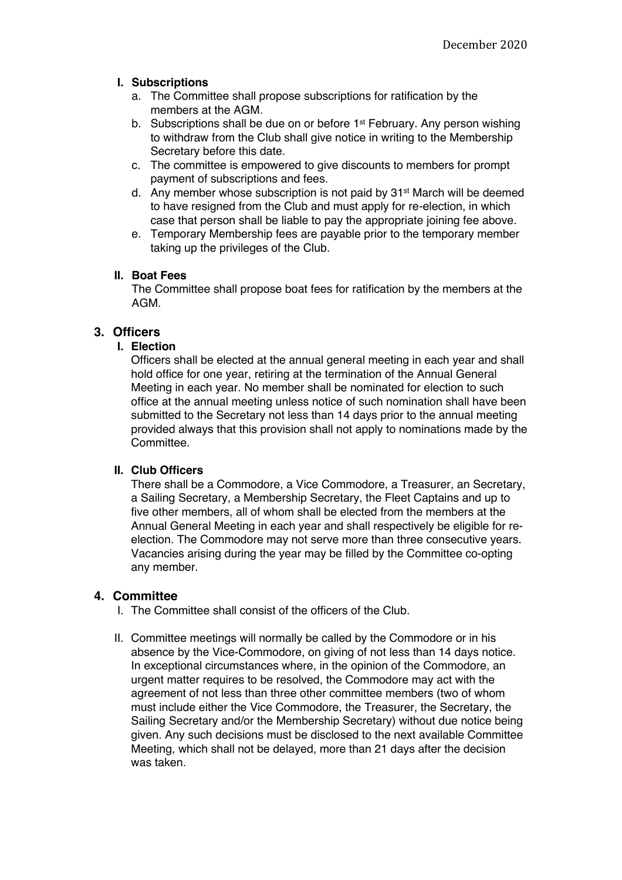## **I. Subscriptions**

- a. The Committee shall propose subscriptions for ratification by the members at the AGM.
- b. Subscriptions shall be due on or before 1<sup>st</sup> February. Any person wishing to withdraw from the Club shall give notice in writing to the Membership Secretary before this date.
- c. The committee is empowered to give discounts to members for prompt payment of subscriptions and fees.
- d. Any member whose subscription is not paid by 31st March will be deemed to have resigned from the Club and must apply for re-election, in which case that person shall be liable to pay the appropriate joining fee above.
- e. Temporary Membership fees are payable prior to the temporary member taking up the privileges of the Club.

## **II. Boat Fees**

The Committee shall propose boat fees for ratification by the members at the AGM.

# **3. Officers**

## **I. Election**

Officers shall be elected at the annual general meeting in each year and shall hold office for one year, retiring at the termination of the Annual General Meeting in each year. No member shall be nominated for election to such office at the annual meeting unless notice of such nomination shall have been submitted to the Secretary not less than 14 days prior to the annual meeting provided always that this provision shall not apply to nominations made by the Committee.

## **II. Club Officers**

There shall be a Commodore, a Vice Commodore, a Treasurer, an Secretary, a Sailing Secretary, a Membership Secretary, the Fleet Captains and up to five other members, all of whom shall be elected from the members at the Annual General Meeting in each year and shall respectively be eligible for reelection. The Commodore may not serve more than three consecutive years. Vacancies arising during the year may be filled by the Committee co-opting any member.

## **4. Committee**

- I. The Committee shall consist of the officers of the Club.
- II. Committee meetings will normally be called by the Commodore or in his absence by the Vice-Commodore, on giving of not less than 14 days notice. In exceptional circumstances where, in the opinion of the Commodore, an urgent matter requires to be resolved, the Commodore may act with the agreement of not less than three other committee members (two of whom must include either the Vice Commodore, the Treasurer, the Secretary, the Sailing Secretary and/or the Membership Secretary) without due notice being given. Any such decisions must be disclosed to the next available Committee Meeting, which shall not be delayed, more than 21 days after the decision was taken.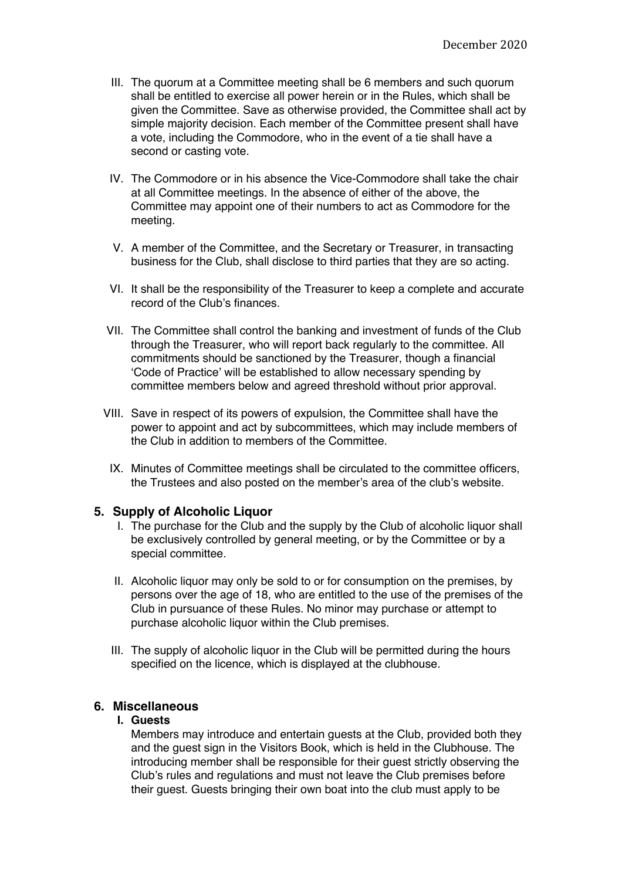- III. The quorum at a Committee meeting shall be 6 members and such quorum shall be entitled to exercise all power herein or in the Rules, which shall be given the Committee. Save as otherwise provided, the Committee shall act by simple majority decision. Each member of the Committee present shall have a vote, including the Commodore, who in the event of a tie shall have a second or casting vote.
- IV. The Commodore or in his absence the Vice-Commodore shall take the chair at all Committee meetings. In the absence of either of the above, the Committee may appoint one of their numbers to act as Commodore for the meeting.
- V. A member of the Committee, and the Secretary or Treasurer, in transacting business for the Club, shall disclose to third parties that they are so acting.
- VI. It shall be the responsibility of the Treasurer to keep a complete and accurate record of the Club's finances.
- VII. The Committee shall control the banking and investment of funds of the Club through the Treasurer, who will report back regularly to the committee. All commitments should be sanctioned by the Treasurer, though a financial 'Code of Practice' will be established to allow necessary spending by committee members below and agreed threshold without prior approval.
- VIII. Save in respect of its powers of expulsion, the Committee shall have the power to appoint and act by subcommittees, which may include members of the Club in addition to members of the Committee.
- IX. Minutes of Committee meetings shall be circulated to the committee officers, the Trustees and also posted on the member's area of the club's website.

## **5. Supply of Alcoholic Liquor**

- I. The purchase for the Club and the supply by the Club of alcoholic liquor shall be exclusively controlled by general meeting, or by the Committee or by a special committee.
- II. Alcoholic liquor may only be sold to or for consumption on the premises, by persons over the age of 18, who are entitled to the use of the premises of the Club in pursuance of these Rules. No minor may purchase or attempt to purchase alcoholic liquor within the Club premises.
- III. The supply of alcoholic liquor in the Club will be permitted during the hours specified on the licence, which is displayed at the clubhouse.

## **6. Miscellaneous**

#### **I. Guests**

Members may introduce and entertain guests at the Club, provided both they and the guest sign in the Visitors Book, which is held in the Clubhouse. The introducing member shall be responsible for their guest strictly observing the Club's rules and regulations and must not leave the Club premises before their guest. Guests bringing their own boat into the club must apply to be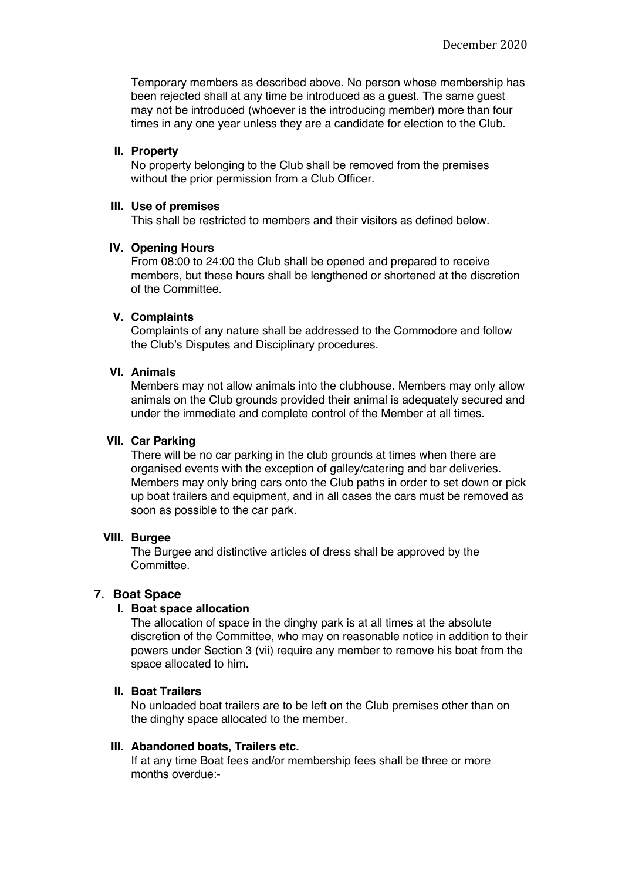Temporary members as described above. No person whose membership has been rejected shall at any time be introduced as a guest. The same guest may not be introduced (whoever is the introducing member) more than four times in any one year unless they are a candidate for election to the Club.

#### **II. Property**

No property belonging to the Club shall be removed from the premises without the prior permission from a Club Officer.

#### **III. Use of premises**

This shall be restricted to members and their visitors as defined below.

#### **IV. Opening Hours**

From 08:00 to 24:00 the Club shall be opened and prepared to receive members, but these hours shall be lengthened or shortened at the discretion of the Committee.

## **V. Complaints**

Complaints of any nature shall be addressed to the Commodore and follow the Club's Disputes and Disciplinary procedures.

## **VI. Animals**

Members may not allow animals into the clubhouse. Members may only allow animals on the Club grounds provided their animal is adequately secured and under the immediate and complete control of the Member at all times.

#### **VII. Car Parking**

There will be no car parking in the club grounds at times when there are organised events with the exception of galley/catering and bar deliveries. Members may only bring cars onto the Club paths in order to set down or pick up boat trailers and equipment, and in all cases the cars must be removed as soon as possible to the car park.

#### **VIII. Burgee**

The Burgee and distinctive articles of dress shall be approved by the Committee.

## **7. Boat Space**

## **I. Boat space allocation**

The allocation of space in the dinghy park is at all times at the absolute discretion of the Committee, who may on reasonable notice in addition to their powers under Section 3 (vii) require any member to remove his boat from the space allocated to him.

#### **II. Boat Trailers**

No unloaded boat trailers are to be left on the Club premises other than on the dinghy space allocated to the member.

#### **III. Abandoned boats, Trailers etc.**

If at any time Boat fees and/or membership fees shall be three or more months overdue:-